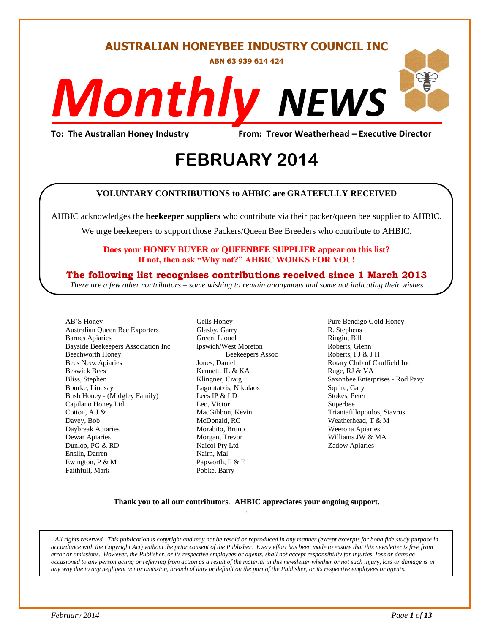# **AUSTRALIAN HONEYBEE INDUSTRY COUNCIL INC**

**ABN 63 939 614 424**

# *NEWS Monthly*

**To: The Australian Honey Industry From: Trevor Weatherhead – Executive Director**

# *2014* **FEBRUARY 2014**

#### **VOLUNTARY CONTRIBUTIONS to AHBIC are GRATEFULLY RECEIVED**

AHBIC acknowledges the **beekeeper suppliers** who contribute via their packer/queen bee supplier to AHBIC.

We urge beekeepers to support those Packers/Queen Bee Breeders who contribute to AHBIC.

#### **Does your HONEY BUYER or QUEENBEE SUPPLIER appear on this list? If not, then ask "Why not?" AHBIC WORKS FOR YOU!**

### **The following list recognises contributions received since 1 March 2013**

*There are a few other contributors – some wishing to remain anonymous and some not indicating their wishes*

AB"S Honey Australian Queen Bee Exporters Barnes Apiaries Bayside Beekeepers Association Inc Beechworth Honey Bees Neez Apiaries Beswick Bees Bliss, Stephen Bourke, Lindsay Bush Honey - (Midgley Family) Capilano Honey Ltd Cotton, A J & Davey, Bob Daybreak Apiaries Dewar Apiaries Dunlop, PG & RD Enslin, Darren Ewington, P & M Faithfull, Mark

Gells Honey Glasby, Garry Green, Lionel Ipswich/West Moreton Beekeepers Assoc Jones, Daniel Kennett, JL & KA Klingner, Craig Lagoutatzis, Nikolaos Lees IP & LD Leo, Victor MacGibbon, Kevin McDonald, RG Morabito, Bruno Morgan, Trevor Naicol Pty Ltd Nairn, Mal Papworth, F & E Pobke, Barry

Pure Bendigo Gold Honey R. Stephens Ringin, Bill Roberts, Glenn Roberts, I J & J H Rotary Club of Caulfield Inc Ruge, RJ & VA Saxonbee Enterprises - Rod Pavy Squire, Gary Stokes, Peter Superbee Triantafillopoulos, Stavros Weatherhead, T & M Weerona Apiaries Williams JW & MA Zadow Apiaries

#### **Thank you to all our contributors***.* **AHBIC appreciates your ongoing support.** .

*All rights reserved. This publication is copyright and may not be resold or reproduced in any manner (except excerpts for bona fide study purpose in accordance with the Copyright Act) without the prior consent of the Publisher. Every effort has been made to ensure that this newsletter is free from error or omissions. However, the Publisher, or its respective employees or agents, shall not accept responsibility for injuries, loss or damage occasioned to any person acting or referring from action as a result of the material in this newsletter whether or not such injury, loss or damage is in any way due to any negligent act or omission, breach of duty or default on the part of the Publisher, or its respective employees or agents.*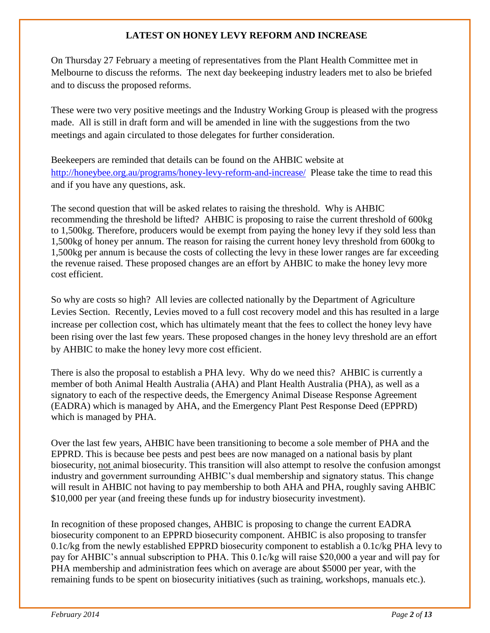# **LATEST ON HONEY LEVY REFORM AND INCREASE**

On Thursday 27 February a meeting of representatives from the Plant Health Committee met in Melbourne to discuss the reforms. The next day beekeeping industry leaders met to also be briefed and to discuss the proposed reforms.

These were two very positive meetings and the Industry Working Group is pleased with the progress made. All is still in draft form and will be amended in line with the suggestions from the two meetings and again circulated to those delegates for further consideration.

Beekeepers are reminded that details can be found on the AHBIC website at <http://honeybee.org.au/programs/honey-levy-reform-and-increase/>Please take the time to read this and if you have any questions, ask.

The second question that will be asked relates to raising the threshold. Why is AHBIC recommending the threshold be lifted? AHBIC is proposing to raise the current threshold of 600kg to 1,500kg. Therefore, producers would be exempt from paying the honey levy if they sold less than 1,500kg of honey per annum. The reason for raising the current honey levy threshold from 600kg to 1,500kg per annum is because the costs of collecting the levy in these lower ranges are far exceeding the revenue raised. These proposed changes are an effort by AHBIC to make the honey levy more cost efficient.

So why are costs so high? All levies are collected nationally by the Department of Agriculture Levies Section. Recently, Levies moved to a full cost recovery model and this has resulted in a large increase per collection cost, which has ultimately meant that the fees to collect the honey levy have been rising over the last few years. These proposed changes in the honey levy threshold are an effort by AHBIC to make the honey levy more cost efficient.

There is also the proposal to establish a PHA levy. Why do we need this? AHBIC is currently a member of both Animal Health Australia (AHA) and Plant Health Australia (PHA), as well as a signatory to each of the respective deeds, the Emergency Animal Disease Response Agreement (EADRA) which is managed by AHA, and the Emergency Plant Pest Response Deed (EPPRD) which is managed by PHA.

Over the last few years, AHBIC have been transitioning to become a sole member of PHA and the EPPRD. This is because bee pests and pest bees are now managed on a national basis by plant biosecurity, not animal biosecurity. This transition will also attempt to resolve the confusion amongst industry and government surrounding AHBIC"s dual membership and signatory status. This change will result in AHBIC not having to pay membership to both AHA and PHA, roughly saving AHBIC \$10,000 per year (and freeing these funds up for industry biosecurity investment).

In recognition of these proposed changes, AHBIC is proposing to change the current EADRA biosecurity component to an EPPRD biosecurity component. AHBIC is also proposing to transfer 0.1c/kg from the newly established EPPRD biosecurity component to establish a 0.1c/kg PHA levy to pay for AHBIC's annual subscription to PHA. This 0.1c/kg will raise \$20,000 a year and will pay for PHA membership and administration fees which on average are about \$5000 per year, with the remaining funds to be spent on biosecurity initiatives (such as training, workshops, manuals etc.).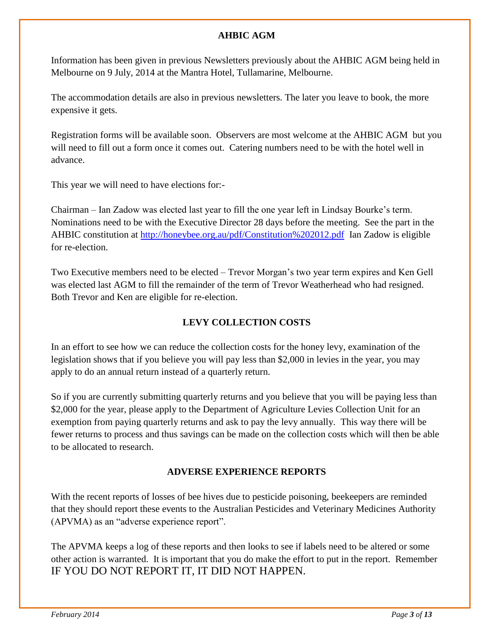# **AHBIC AGM**

Information has been given in previous Newsletters previously about the AHBIC AGM being held in Melbourne on 9 July, 2014 at the Mantra Hotel, Tullamarine, Melbourne.

The accommodation details are also in previous newsletters. The later you leave to book, the more expensive it gets.

Registration forms will be available soon. Observers are most welcome at the AHBIC AGM but you will need to fill out a form once it comes out. Catering numbers need to be with the hotel well in advance.

This year we will need to have elections for:-

Chairman – Ian Zadow was elected last year to fill the one year left in Lindsay Bourke"s term. Nominations need to be with the Executive Director 28 days before the meeting. See the part in the AHBIC constitution at<http://honeybee.org.au/pdf/Constitution%202012.pdf>Ian Zadow is eligible for re-election.

Two Executive members need to be elected – Trevor Morgan"s two year term expires and Ken Gell was elected last AGM to fill the remainder of the term of Trevor Weatherhead who had resigned. Both Trevor and Ken are eligible for re-election.

# **LEVY COLLECTION COSTS**

In an effort to see how we can reduce the collection costs for the honey levy, examination of the legislation shows that if you believe you will pay less than \$2,000 in levies in the year, you may apply to do an annual return instead of a quarterly return.

So if you are currently submitting quarterly returns and you believe that you will be paying less than \$2,000 for the year, please apply to the Department of Agriculture Levies Collection Unit for an exemption from paying quarterly returns and ask to pay the levy annually. This way there will be fewer returns to process and thus savings can be made on the collection costs which will then be able to be allocated to research.

### **ADVERSE EXPERIENCE REPORTS**

With the recent reports of losses of bee hives due to pesticide poisoning, beekeepers are reminded that they should report these events to the Australian Pesticides and Veterinary Medicines Authority (APVMA) as an "adverse experience report".

The APVMA keeps a log of these reports and then looks to see if labels need to be altered or some other action is warranted. It is important that you do make the effort to put in the report. Remember IF YOU DO NOT REPORT IT, IT DID NOT HAPPEN.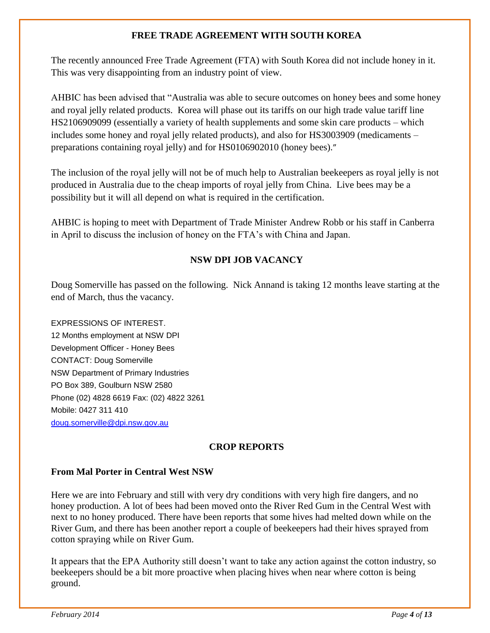# **FREE TRADE AGREEMENT WITH SOUTH KOREA**

The recently announced Free Trade Agreement (FTA) with South Korea did not include honey in it. This was very disappointing from an industry point of view.

AHBIC has been advised that "Australia was able to secure outcomes on honey bees and some honey and royal jelly related products. Korea will phase out its tariffs on our high trade value tariff line HS2106909099 (essentially a variety of health supplements and some skin care products – which includes some honey and royal jelly related products), and also for HS3003909 (medicaments – preparations containing royal jelly) and for HS0106902010 (honey bees)."

The inclusion of the royal jelly will not be of much help to Australian beekeepers as royal jelly is not produced in Australia due to the cheap imports of royal jelly from China. Live bees may be a possibility but it will all depend on what is required in the certification.

AHBIC is hoping to meet with Department of Trade Minister Andrew Robb or his staff in Canberra in April to discuss the inclusion of honey on the FTA"s with China and Japan.

# **NSW DPI JOB VACANCY**

Doug Somerville has passed on the following. Nick Annand is taking 12 months leave starting at the end of March, thus the vacancy.

EXPRESSIONS OF INTEREST. 12 Months employment at NSW DPI Development Officer - Honey Bees CONTACT: Doug Somerville NSW Department of Primary Industries PO Box 389, Goulburn NSW 2580 Phone (02) 4828 6619 Fax: (02) 4822 3261 Mobile: 0427 311 410 [doug.somerville@dpi.nsw.gov.au](mailto:doug.somerville@dpi.nsw.gov.au)

# **CROP REPORTS**

# **From Mal Porter in Central West NSW**

Here we are into February and still with very dry conditions with very high fire dangers, and no honey production. A lot of bees had been moved onto the River Red Gum in the Central West with next to no honey produced. There have been reports that some hives had melted down while on the River Gum, and there has been another report a couple of beekeepers had their hives sprayed from cotton spraying while on River Gum.

It appears that the EPA Authority still doesn"t want to take any action against the cotton industry, so beekeepers should be a bit more proactive when placing hives when near where cotton is being ground.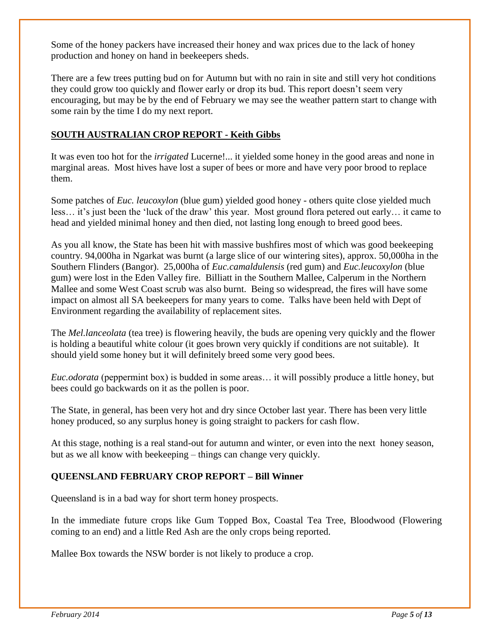Some of the honey packers have increased their honey and wax prices due to the lack of honey production and honey on hand in beekeepers sheds.

There are a few trees putting bud on for Autumn but with no rain in site and still very hot conditions they could grow too quickly and flower early or drop its bud. This report doesn"t seem very encouraging, but may be by the end of February we may see the weather pattern start to change with some rain by the time I do my next report.

# **SOUTH AUSTRALIAN CROP REPORT - Keith Gibbs**

It was even too hot for the *irrigated* Lucerne!... it yielded some honey in the good areas and none in marginal areas. Most hives have lost a super of bees or more and have very poor brood to replace them.

Some patches of *Euc. leucoxylon* (blue gum) yielded good honey - others quite close yielded much less… it"s just been the "luck of the draw" this year. Most ground flora petered out early… it came to head and yielded minimal honey and then died, not lasting long enough to breed good bees.

As you all know, the State has been hit with massive bushfires most of which was good beekeeping country. 94,000ha in Ngarkat was burnt (a large slice of our wintering sites), approx. 50,000ha in the Southern Flinders (Bangor). 25,000ha of *Euc.camaldulensis* (red gum) and *Euc.leucoxylon* (blue gum) were lost in the Eden Valley fire. Billiatt in the Southern Mallee, Calperum in the Northern Mallee and some West Coast scrub was also burnt. Being so widespread, the fires will have some impact on almost all SA beekeepers for many years to come. Talks have been held with Dept of Environment regarding the availability of replacement sites.

The *Mel.lanceolata* (tea tree) is flowering heavily, the buds are opening very quickly and the flower is holding a beautiful white colour (it goes brown very quickly if conditions are not suitable). It should yield some honey but it will definitely breed some very good bees.

*Euc.odorata* (peppermint box) is budded in some areas… it will possibly produce a little honey, but bees could go backwards on it as the pollen is poor.

The State, in general, has been very hot and dry since October last year. There has been very little honey produced, so any surplus honey is going straight to packers for cash flow.

At this stage, nothing is a real stand-out for autumn and winter, or even into the next honey season, but as we all know with beekeeping – things can change very quickly.

### **QUEENSLAND FEBRUARY CROP REPORT – Bill Winner**

Queensland is in a bad way for short term honey prospects.

In the immediate future crops like Gum Topped Box, Coastal Tea Tree, Bloodwood (Flowering coming to an end) and a little Red Ash are the only crops being reported.

Mallee Box towards the NSW border is not likely to produce a crop.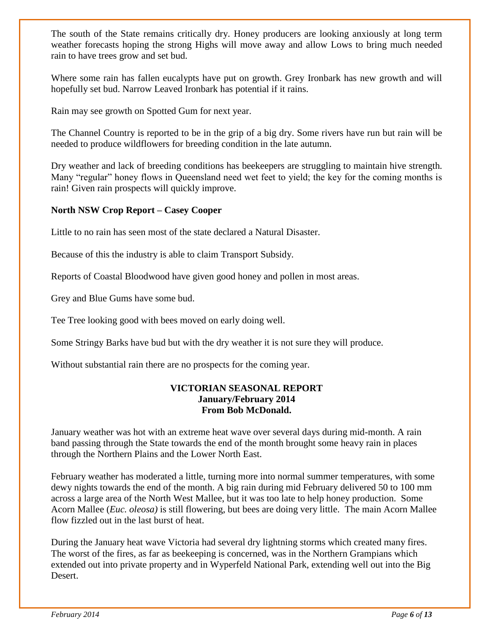The south of the State remains critically dry. Honey producers are looking anxiously at long term weather forecasts hoping the strong Highs will move away and allow Lows to bring much needed rain to have trees grow and set bud.

Where some rain has fallen eucalypts have put on growth. Grey Ironbark has new growth and will hopefully set bud. Narrow Leaved Ironbark has potential if it rains.

Rain may see growth on Spotted Gum for next year.

The Channel Country is reported to be in the grip of a big dry. Some rivers have run but rain will be needed to produce wildflowers for breeding condition in the late autumn.

Dry weather and lack of breeding conditions has beekeepers are struggling to maintain hive strength. Many "regular" honey flows in Queensland need wet feet to yield; the key for the coming months is rain! Given rain prospects will quickly improve.

### **North NSW Crop Report – Casey Cooper**

Little to no rain has seen most of the state declared a Natural Disaster.

Because of this the industry is able to claim Transport Subsidy.

Reports of Coastal Bloodwood have given good honey and pollen in most areas.

Grey and Blue Gums have some bud.

Tee Tree looking good with bees moved on early doing well.

Some Stringy Barks have bud but with the dry weather it is not sure they will produce.

Without substantial rain there are no prospects for the coming year.

#### **VICTORIAN SEASONAL REPORT January/February 2014 From Bob McDonald.**

January weather was hot with an extreme heat wave over several days during mid-month. A rain band passing through the State towards the end of the month brought some heavy rain in places through the Northern Plains and the Lower North East.

February weather has moderated a little, turning more into normal summer temperatures, with some dewy nights towards the end of the month. A big rain during mid February delivered 50 to 100 mm across a large area of the North West Mallee, but it was too late to help honey production. Some Acorn Mallee (*Euc. oleosa)* is still flowering, but bees are doing very little. The main Acorn Mallee flow fizzled out in the last burst of heat.

During the January heat wave Victoria had several dry lightning storms which created many fires. The worst of the fires, as far as beekeeping is concerned, was in the Northern Grampians which extended out into private property and in Wyperfeld National Park, extending well out into the Big Desert.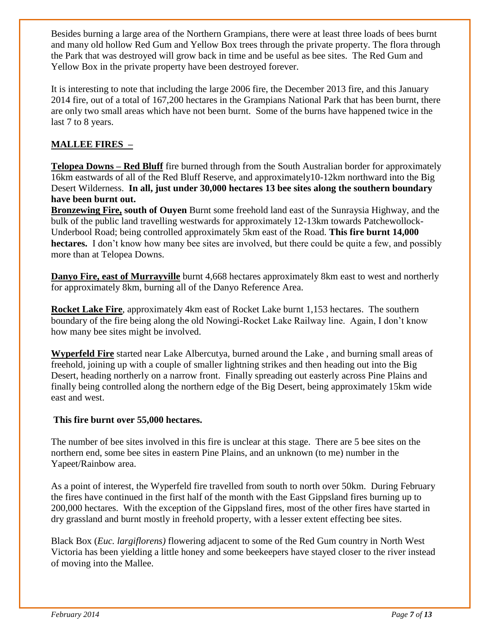Besides burning a large area of the Northern Grampians, there were at least three loads of bees burnt and many old hollow Red Gum and Yellow Box trees through the private property. The flora through the Park that was destroyed will grow back in time and be useful as bee sites. The Red Gum and Yellow Box in the private property have been destroyed forever.

It is interesting to note that including the large 2006 fire, the December 2013 fire, and this January 2014 fire, out of a total of 167,200 hectares in the Grampians National Park that has been burnt, there are only two small areas which have not been burnt. Some of the burns have happened twice in the last 7 to 8 years.

# **MALLEE FIRES –**

**Telopea Downs – Red Bluff** fire burned through from the South Australian border for approximately 16km eastwards of all of the Red Bluff Reserve, and approximately10-12km northward into the Big Desert Wilderness. **In all, just under 30,000 hectares 13 bee sites along the southern boundary have been burnt out.**

**Bronzewing Fire, south of Ouyen** Burnt some freehold land east of the Sunraysia Highway, and the bulk of the public land travelling westwards for approximately 12-13km towards Patchewollock-Underbool Road; being controlled approximately 5km east of the Road. **This fire burnt 14,000**  hectares. I don't know how many bee sites are involved, but there could be quite a few, and possibly more than at Telopea Downs.

**Danyo Fire, east of Murrayville** burnt 4,668 hectares approximately 8km east to west and northerly for approximately 8km, burning all of the Danyo Reference Area.

**Rocket Lake Fire**, approximately 4km east of Rocket Lake burnt 1,153 hectares. The southern boundary of the fire being along the old Nowingi-Rocket Lake Railway line. Again, I don"t know how many bee sites might be involved.

**Wyperfeld Fire** started near Lake Albercutya, burned around the Lake , and burning small areas of freehold, joining up with a couple of smaller lightning strikes and then heading out into the Big Desert, heading northerly on a narrow front. Finally spreading out easterly across Pine Plains and finally being controlled along the northern edge of the Big Desert, being approximately 15km wide east and west.

### **This fire burnt over 55,000 hectares.**

The number of bee sites involved in this fire is unclear at this stage. There are 5 bee sites on the northern end, some bee sites in eastern Pine Plains, and an unknown (to me) number in the Yapeet/Rainbow area.

As a point of interest, the Wyperfeld fire travelled from south to north over 50km. During February the fires have continued in the first half of the month with the East Gippsland fires burning up to 200,000 hectares. With the exception of the Gippsland fires, most of the other fires have started in dry grassland and burnt mostly in freehold property, with a lesser extent effecting bee sites.

Black Box (*Euc. largiflorens)* flowering adjacent to some of the Red Gum country in North West Victoria has been yielding a little honey and some beekeepers have stayed closer to the river instead of moving into the Mallee.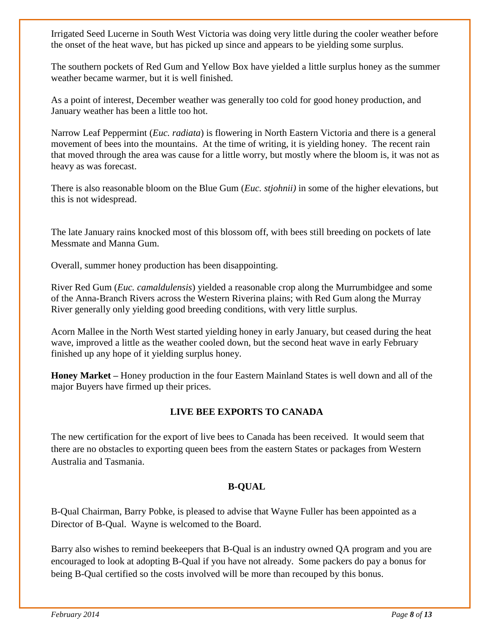Irrigated Seed Lucerne in South West Victoria was doing very little during the cooler weather before the onset of the heat wave, but has picked up since and appears to be yielding some surplus.

The southern pockets of Red Gum and Yellow Box have yielded a little surplus honey as the summer weather became warmer, but it is well finished.

As a point of interest, December weather was generally too cold for good honey production, and January weather has been a little too hot.

Narrow Leaf Peppermint (*Euc. radiata*) is flowering in North Eastern Victoria and there is a general movement of bees into the mountains. At the time of writing, it is yielding honey. The recent rain that moved through the area was cause for a little worry, but mostly where the bloom is, it was not as heavy as was forecast.

There is also reasonable bloom on the Blue Gum (*Euc. stjohnii)* in some of the higher elevations, but this is not widespread.

The late January rains knocked most of this blossom off, with bees still breeding on pockets of late Messmate and Manna Gum.

Overall, summer honey production has been disappointing.

River Red Gum (*Euc. camaldulensis*) yielded a reasonable crop along the Murrumbidgee and some of the Anna-Branch Rivers across the Western Riverina plains; with Red Gum along the Murray River generally only yielding good breeding conditions, with very little surplus.

Acorn Mallee in the North West started yielding honey in early January, but ceased during the heat wave, improved a little as the weather cooled down, but the second heat wave in early February finished up any hope of it yielding surplus honey.

**Honey Market –** Honey production in the four Eastern Mainland States is well down and all of the major Buyers have firmed up their prices.

# **LIVE BEE EXPORTS TO CANADA**

The new certification for the export of live bees to Canada has been received. It would seem that there are no obstacles to exporting queen bees from the eastern States or packages from Western Australia and Tasmania.

# **B-QUAL**

B-Qual Chairman, Barry Pobke, is pleased to advise that Wayne Fuller has been appointed as a Director of B-Qual. Wayne is welcomed to the Board.

Barry also wishes to remind beekeepers that B-Qual is an industry owned QA program and you are encouraged to look at adopting B-Qual if you have not already. Some packers do pay a bonus for being B-Qual certified so the costs involved will be more than recouped by this bonus.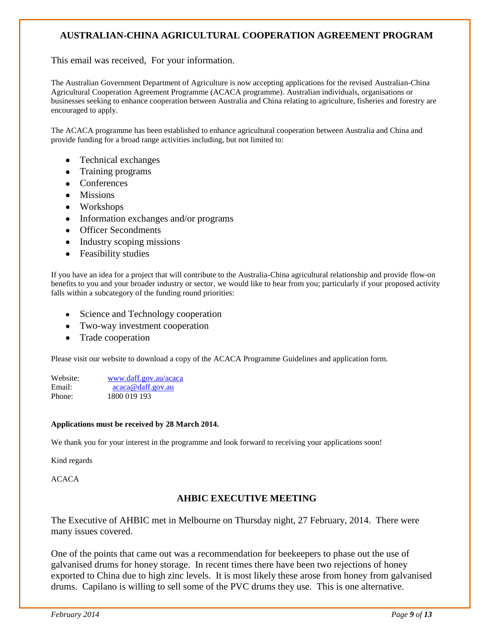# **AUSTRALIAN-CHINA AGRICULTURAL COOPERATION AGREEMENT PROGRAM**

This email was received, For your information.

The Australian Government Department of Agriculture is now accepting applications for the revised Australian-China Agricultural Cooperation Agreement Programme (ACACA programme). Australian individuals, organisations or businesses seeking to enhance cooperation between Australia and China relating to agriculture, fisheries and forestry are encouraged to apply.

The ACACA programme has been established to enhance agricultural cooperation between Australia and China and provide funding for a broad range activities including, but not limited to:

- Technical exchanges
- Training programs
- Conferences
- Missions
- Workshops
- Information exchanges and/or programs
- Officer Secondments
- Industry scoping missions
- Feasibility studies

If you have an idea for a project that will contribute to the Australia-China agricultural relationship and provide flow-on benefits to you and your broader industry or sector, we would like to hear from you; particularly if your proposed activity falls within a subcategory of the funding round priorities:

- Science and Technology cooperation
- Two-way investment cooperation
- Trade cooperation

Please visit our website to download a copy of the ACACA Programme Guidelines and application form.

| Website: | www.daff.gov.au/acaca |
|----------|-----------------------|
| Email:   | acaca@daff.gov.au     |
| Phone:   | 1800 019 193          |

#### **Applications must be received by 28 March 2014.**

We thank you for your interest in the programme and look forward to receiving your applications soon!

Kind regards

ACACA

#### **AHBIC EXECUTIVE MEETING**

The Executive of AHBIC met in Melbourne on Thursday night, 27 February, 2014. There were many issues covered.

One of the points that came out was a recommendation for beekeepers to phase out the use of galvanised drums for honey storage. In recent times there have been two rejections of honey exported to China due to high zinc levels. It is most likely these arose from honey from galvanised drums. Capilano is willing to sell some of the PVC drums they use. This is one alternative.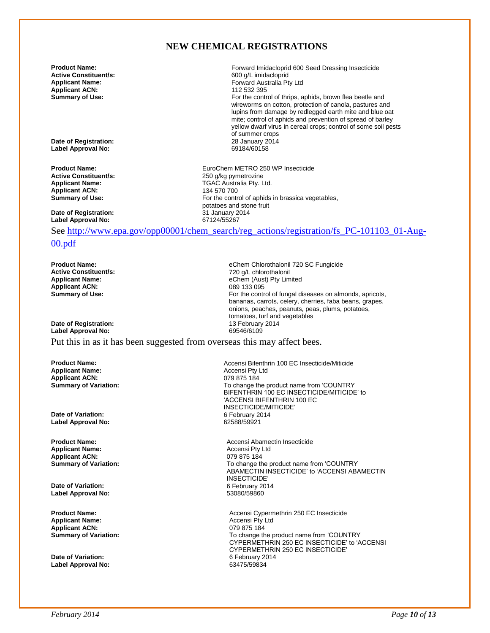# **NEW CHEMICAL REGISTRATIONS**

**Active Constituent/s:** 600 g/L imidacloprid **Applicant ACN:**<br>Summary of Use:

**Product Name: Product Name: Forward Imidacloprid 600 Seed Dressing Insecticide**<br> **Active Constituent/s: Formarily 100 CONSTANDING Active Constituent/s:** 600 c/l imidacloprid Forward Australia Pty Ltd<br>112 532 395 For the control of thrips, aphids, brown flea beetle and wireworms on cotton, protection of canola, pastures and lupins from damage by redlegged earth mite and blue oat mite; control of aphids and prevention of spread of barley yellow dwarf virus in cereal crops; control of some soil pests of summer crops<br>28 January 2014

**Date of Registration:** 28 January 2014 **Label Approval No:** 

**Applicant ACN:**<br>Summary of Use:

**Date of Registration:** 31 January 2014 **Label Approval No:** 

**Product Name: Product Name: EURO 250 WP Insecticide**<br> **Active Constituent/s:** 250 0/kg pymetrozine **Active Constituent/s:** <br> **Applicant Name:** <br> **Applicant Name:** <br> **CAC Australia Ptv. L TGAC Australia Pty. Ltd.**<br>134 570 700 For the control of aphids in brassica vegetables, potatoes and stone fruit<br>31 January 2014

eChem (Aust) Pty Limited<br>089 133 095

tomatoes, turf and vegetables<br>13 February 2014

See [http://www.epa.gov/opp00001/chem\\_search/reg\\_actions/registration/fs\\_PC-101103\\_01-Aug-](http://www.epa.gov/opp00001/chem_search/reg_actions/registration/fs_PC-101103_01-Aug-00.pdf)

#### [00.pdf](http://www.epa.gov/opp00001/chem_search/reg_actions/registration/fs_PC-101103_01-Aug-00.pdf)

**Product Name: Product Name: eChem Chlorothalonil 720 SC Fungicide**<br> **Active Constituent/s: eChem Chlorothalonil** 720 a/L chlorothalonil **Active Constituent/s:** <br>**Applicant Name:** <br>**Applicant Name:** <br>**Applicant Name:** <br>**Applicant Name:** <br>**Applicant Name:** <br>**Applicant Name:** <br>**Applicant Name:** <br>**Applicant Name:** <br>**Applicant Name:** <br>**Applicant Name:** <br>**Applic Applicant ACN:**<br>Summary of Use:

**Date of Registration:** 13 February 2014 **Label Approval No:** 

Put this in as it has been suggested from overseas this may affect bees.

**Applicant Name:** Accensi Pty Ltd **Applicant ACN:**<br>**Summary of Variation:** 

**Date of Variation:** 6 February 2014 **Label Approval No:** 

**Applicant Name:** Accensi Pty Ltd **Applicant ACN:**<br>**Summary of Variation:** 

**Date of Variation: Label Approval No:** 53080/59860

**Applicant Name:** Accensi Pty Ltd **Applicant ACN:**<br>Summary of Variation:

**Date of Variation: Label Approval No:** 63475/59834

**Product Name: Accensi Bifenthrin 100 EC Insecticide/Miticide**<br> **Accensi Pty Ltd Accensi Pty Ltd Accensi Pty Ltd Accensi Pty Ltd** To change the product name from 'COUNTRY BIFENTHRIN 100 EC INSECTICIDE/MITICIDE' to 'ACCENSI BIFENTHRIN 100 EC INSECTICIDE/MITICIDE'

For the control of fungal diseases on almonds, apricots, bananas, carrots, celery, cherries, faba beans, grapes, onions, peaches, peanuts, peas, plums, potatoes,

**Product Name:** <br> **Accensi Abamectin Insecticide**<br> **Accensi Pty Ltd**<br>
Accensi Pty Ltd To change the product name from 'COUNTRY ABAMECTIN INSECTICIDE' to 'ACCENSI ABAMECTIN INSECTICIDE'<br>6 February 2014

**Product Name: Accensi Cypermethrin 250 EC Insecticide Accensi Cypermethrin 250 EC Insecticide** To change the product name from 'COUNTRY CYPERMETHRIN 250 EC INSECTICIDE' to 'ACCENSI CYPERMETHRIN 250 EC INSECTICIDE'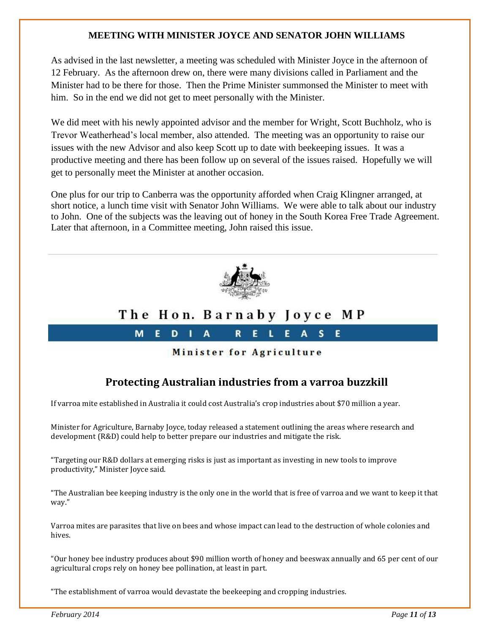## **MEETING WITH MINISTER JOYCE AND SENATOR JOHN WILLIAMS**

As advised in the last newsletter, a meeting was scheduled with Minister Joyce in the afternoon of 12 February. As the afternoon drew on, there were many divisions called in Parliament and the Minister had to be there for those. Then the Prime Minister summonsed the Minister to meet with him. So in the end we did not get to meet personally with the Minister.

We did meet with his newly appointed advisor and the member for Wright, Scott Buchholz, who is Trevor Weatherhead"s local member, also attended. The meeting was an opportunity to raise our issues with the new Advisor and also keep Scott up to date with beekeeping issues. It was a productive meeting and there has been follow up on several of the issues raised. Hopefully we will get to personally meet the Minister at another occasion.

One plus for our trip to Canberra was the opportunity afforded when Craig Klingner arranged, at short notice, a lunch time visit with Senator John Williams. We were able to talk about our industry to John. One of the subjects was the leaving out of honey in the South Korea Free Trade Agreement. Later that afternoon, in a Committee meeting, John raised this issue.



# The Hon. Barnaby Joyce MP

 $\mathbf{R}$ 

Minister for Agriculture

E.

 $\mathbf{L}$ 

E.

 $A \quad S$ 

F.

# **Protecting Australian industries from a varroa buzzkill**

If varroa mite established in Australia it could cost Australia's crop industries about \$70 million a year.

M<sub>1</sub>

F.

 $D \parallel$ 

 $\Delta$ 

Minister for Agriculture, Barnaby Joyce, today released a statement outlining the areas where research and development (R&D) could help to better prepare our industries and mitigate the risk.

"Targeting our R&D dollars at emerging risks is just as important as investing in new tools to improve productivity," Minister Joyce said.

"The Australian bee keeping industry is the only one in the world that is free of varroa and we want to keep it that way."

Varroa mites are parasites that live on bees and whose impact can lead to the destruction of whole colonies and hives.

"Our honey bee industry produces about \$90 million worth of honey and beeswax annually and 65 per cent of our agricultural crops rely on honey bee pollination, at least in part.

"The establishment of varroa would devastate the beekeeping and cropping industries.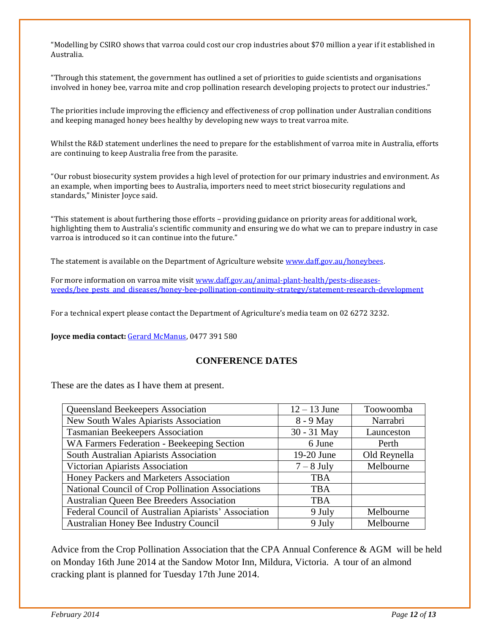"Modelling by CSIRO shows that varroa could cost our crop industries about \$70 million a year if it established in Australia.

"Through this statement, the government has outlined a set of priorities to guide scientists and organisations involved in honey bee, varroa mite and crop pollination research developing projects to protect our industries."

The priorities include improving the efficiency and effectiveness of crop pollination under Australian conditions and keeping managed honey bees healthy by developing new ways to treat varroa mite.

Whilst the R&D statement underlines the need to prepare for the establishment of varroa mite in Australia, efforts are continuing to keep Australia free from the parasite.

"Our robust biosecurity system provides a high level of protection for our primary industries and environment. As an example, when importing bees to Australia, importers need to meet strict biosecurity regulations and standards," Minister Joyce said.

"This statement is about furthering those efforts – providing guidance on priority areas for additional work, highlighting them to Australia's scientific community and ensuring we do what we can to prepare industry in case varroa is introduced so it can continue into the future."

The statement is available on the Department of Agriculture website [www.daff.gov.au/honeybees.](http://www.daff.gov.au/honeybees)

For more information on varroa mite visi[t www.daff.gov.au/animal-plant-health/pests-diseases](http://www.daff.gov.au/animal-plant-health/pests-diseases-weeds/bee_pests_and_diseases/honey-bee-pollination-continuity-strategy/statement-research-development)[weeds/bee\\_pests\\_and\\_diseases/honey-bee-pollination-continuity-strategy/statement-research-development](http://www.daff.gov.au/animal-plant-health/pests-diseases-weeds/bee_pests_and_diseases/honey-bee-pollination-continuity-strategy/statement-research-development)

For a technical expert please contact the Department of Agriculture's media team on 02 6272 3232.

**Joyce media contact:** [Gerard McManus,](mailto:gerard.mcmanus@maff.gov.au) 0477 391 580

### **CONFERENCE DATES**

These are the dates as I have them at present.

| Queensland Beekeepers Association                    | $12 - 13$ June | Toowoomba    |
|------------------------------------------------------|----------------|--------------|
| New South Wales Apiarists Association                | 8 - 9 May      | Narrabri     |
| <b>Tasmanian Beekeepers Association</b>              | 30 - 31 May    | Launceston   |
| WA Farmers Federation - Beekeeping Section           | 6 June         | Perth        |
| South Australian Apiarists Association               | 19-20 June     | Old Reynella |
| Victorian Apiarists Association                      | $7 - 8$ July   | Melbourne    |
| Honey Packers and Marketers Association              | <b>TBA</b>     |              |
| National Council of Crop Pollination Associations    | <b>TBA</b>     |              |
| <b>Australian Queen Bee Breeders Association</b>     | <b>TBA</b>     |              |
| Federal Council of Australian Apiarists' Association | 9 July         | Melbourne    |
| Australian Honey Bee Industry Council                | 9 July         | Melbourne    |

Advice from the Crop Pollination Association that the CPA Annual Conference & AGM will be held on Monday 16th June 2014 at the Sandow Motor Inn, Mildura, Victoria. A tour of an almond cracking plant is planned for Tuesday 17th June 2014.